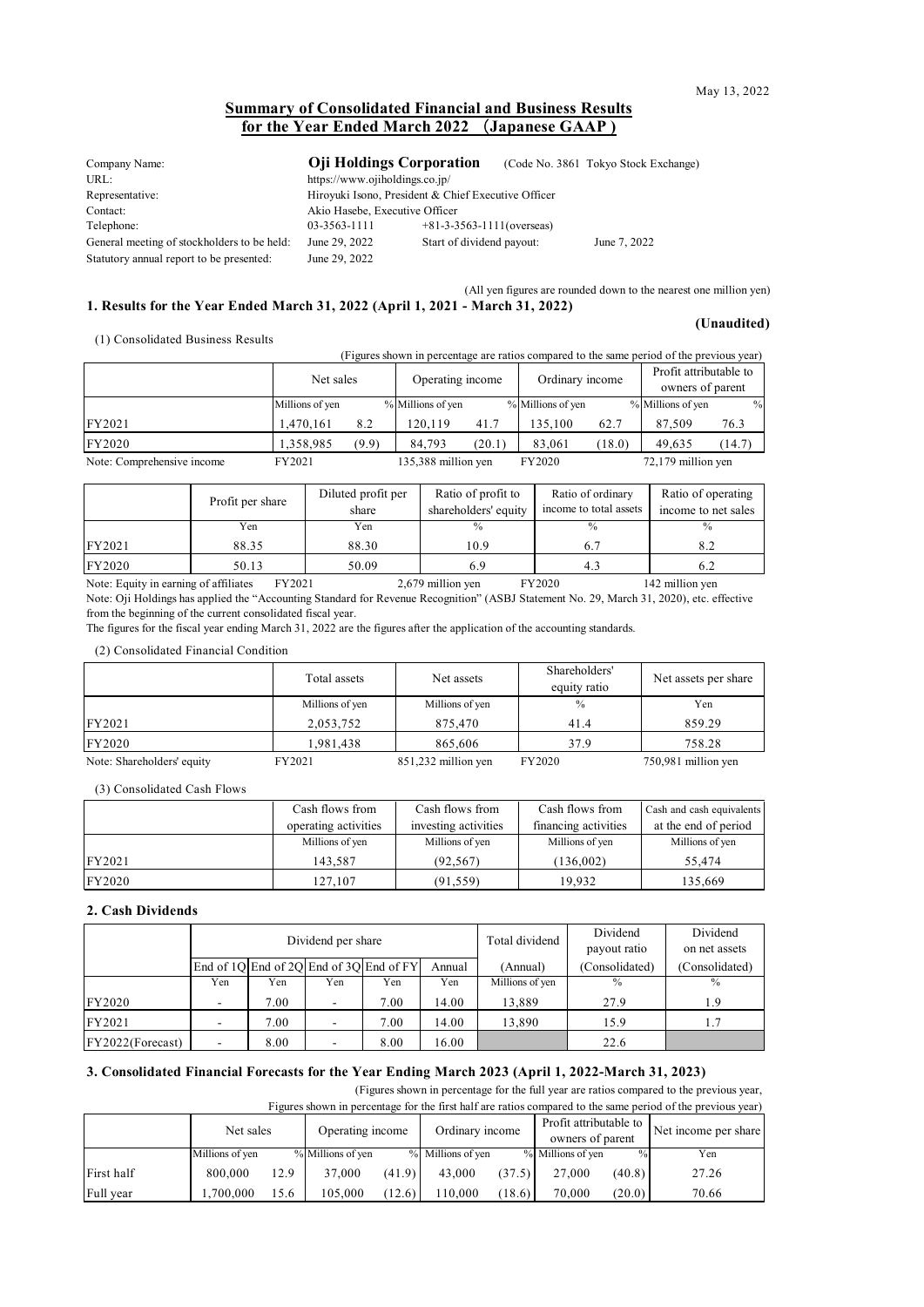### **Summary of Consolidated Financial and Business Results for the Year Ended March 2022** (**Japanese GAAP )**

| Company Name:                               | <b>O</b> ii Holdings Corporation                    |                              | (Code No. 3861 Tokyo Stock Exchange) |
|---------------------------------------------|-----------------------------------------------------|------------------------------|--------------------------------------|
| URL:                                        | https://www.ojiholdings.co.jp/                      |                              |                                      |
| Representative:                             | Hiroyuki Isono, President & Chief Executive Officer |                              |                                      |
| Contact:                                    | Akio Hasebe, Executive Officer                      |                              |                                      |
| Telephone:                                  | 03-3563-1111                                        | $+81-3-3563-1111$ (overseas) |                                      |
| General meeting of stockholders to be held: | June 29, 2022                                       | Start of dividend payout:    | June 7, 2022                         |
| Statutory annual report to be presented:    | June 29, 2022                                       |                              |                                      |

(All yen figures are rounded down to the nearest one million yen)

#### **1. Results for the Year Ended March 31, 2022 (April 1, 2021 - March 31, 2022)**

(1) Consolidated Business Results

**(Unaudited)**

|                            | (Figures shown in percentage are ratios compared to the same period of the previous year) |       |                     |        |                   |        |                                            |        |  |  |  |  |
|----------------------------|-------------------------------------------------------------------------------------------|-------|---------------------|--------|-------------------|--------|--------------------------------------------|--------|--|--|--|--|
|                            | Net sales                                                                                 |       | Operating income    |        | Ordinary income   |        | Profit attributable to<br>owners of parent |        |  |  |  |  |
|                            | Millions of yen                                                                           |       | % Millions of yen   |        | % Millions of yen |        | % Millions of yen                          | $\%$   |  |  |  |  |
| FY2021                     | 1,470,161                                                                                 | 8.2   | 120.119             | 41.7   | 135,100           | 62.7   | 87.509                                     | 76.3   |  |  |  |  |
| FY2020                     | 1,358,985                                                                                 | (9.9) | 84.793              | (20.1) | 83,061            | (18.0) | 49.635                                     | (14.7) |  |  |  |  |
| Note: Comprehensive income | FY2021                                                                                    |       | 135,388 million yen |        | FY2020            |        | 72,179 million yen                         |        |  |  |  |  |

|        | Profit per share | Diluted profit per<br>share | Ratio of profit to<br>shareholders' equity | Ratio of ordinary<br>income to total assets | Ratio of operating<br>income to net sales |
|--------|------------------|-----------------------------|--------------------------------------------|---------------------------------------------|-------------------------------------------|
|        | Yen              | Yen                         | $\frac{0}{0}$                              | $\frac{0}{0}$                               | $\frac{0}{0}$                             |
| FY2021 | 88.35            | 88.30                       | 10.9                                       |                                             | 8.2                                       |
| FY2020 | 50.13            | 50.09                       |                                            | 4.3                                         |                                           |

Note: Equity in earning of affiliates FY2021 2,679 million yen FY2020 142 million yen Note: Oji Holdings has applied the "Accounting Standard for Revenue Recognition" (ASBJ Statement No. 29, March 31, 2020), etc. effective from the beginning of the current consolidated fiscal year.

The figures for the fiscal year ending March 31, 2022 are the figures after the application of the accounting standards.

(2) Consolidated Financial Condition

|                            | Total assets    | Net assets          | Shareholders'<br>equity ratio | Net assets per share |
|----------------------------|-----------------|---------------------|-------------------------------|----------------------|
|                            | Millions of yen | Millions of yen     | $\frac{0}{0}$                 | Yen                  |
| FY2021                     | 2,053,752       | 875,470             | 41.4                          | 859.29               |
| FY2020                     | 1.981.438       | 865,606             | 37.9                          | 758.28               |
| Note: Shareholders' equity | FY2021          | 851,232 million yen | FY2020                        | 750,981 million yen  |

(3) Consolidated Cash Flows

|               | Cash flows from      | Cash flows from      | Cash flows from      | Cash and cash equivalents |
|---------------|----------------------|----------------------|----------------------|---------------------------|
|               | operating activities | investing activities | financing activities | at the end of period      |
|               | Millions of yen      | Millions of yen      | Millions of yen      | Millions of yen           |
| FY2021        | 143.587              | (92.567)             | (136,002)            | 55,474                    |
| <b>FY2020</b> | 127,107              | (91, 559)            | 19.932               | 135,669                   |

#### **2. Cash Dividends**

|                  |     |      | Dividend per share       |                                               | Total dividend | Dividend<br>payout ratio | Dividend<br>on net assets |                |
|------------------|-----|------|--------------------------|-----------------------------------------------|----------------|--------------------------|---------------------------|----------------|
|                  |     |      |                          | End of $1Q$ End of $2Q$ End of $3Q$ End of FY | Annual         | (Annual)                 | (Consolidated)            | (Consolidated) |
|                  | Yen | Yen  | Yen                      | Yen                                           | Yen            | Millions of yen          | $\frac{0}{0}$             | $\frac{0}{0}$  |
| <b>FY2020</b>    |     | 7.00 | -                        | 7.00                                          | 14.00          | 13.889                   | 27.9                      | 1.9            |
| FY2021           |     | 7.00 | $\overline{\phantom{a}}$ | 7.00                                          | 14.00          | 13,890                   | 15.9                      |                |
| FY2022(Forecast) |     | 8.00 |                          | 8.00                                          | 16.00          |                          | 22.6                      |                |

#### **3. Consolidated Financial Forecasts for the Year Ending March 2023 (April 1, 2022-March 31, 2023)**

(Figures shown in percentage for the full year are ratios compared to the previous year,

| Figures shown in percentage for the first half are ratios compared to the same period of the previous year) |                 |      |                   |        |                   |        |                        |               |                      |  |
|-------------------------------------------------------------------------------------------------------------|-----------------|------|-------------------|--------|-------------------|--------|------------------------|---------------|----------------------|--|
|                                                                                                             | Net sales       |      | Operating income  |        |                   |        | Profit attributable to |               | Net income per share |  |
|                                                                                                             |                 |      |                   |        | Ordinary income   |        | owners of parent       |               |                      |  |
|                                                                                                             | Millions of yen |      | % Millions of yen |        | % Millions of yen |        | % Millions of yen      | $\frac{0}{0}$ | Yen                  |  |
| First half                                                                                                  | 800,000         | 12.9 | 37,000            | (41.9) | 43,000            | (37.5) | 27,000                 | (40.8)        | 27.26                |  |
| Full year                                                                                                   | .700.000        | 15.6 | 105.000           | (12.6) | 110,000           | (18.6) | 70,000                 | (20.0)        | 70.66                |  |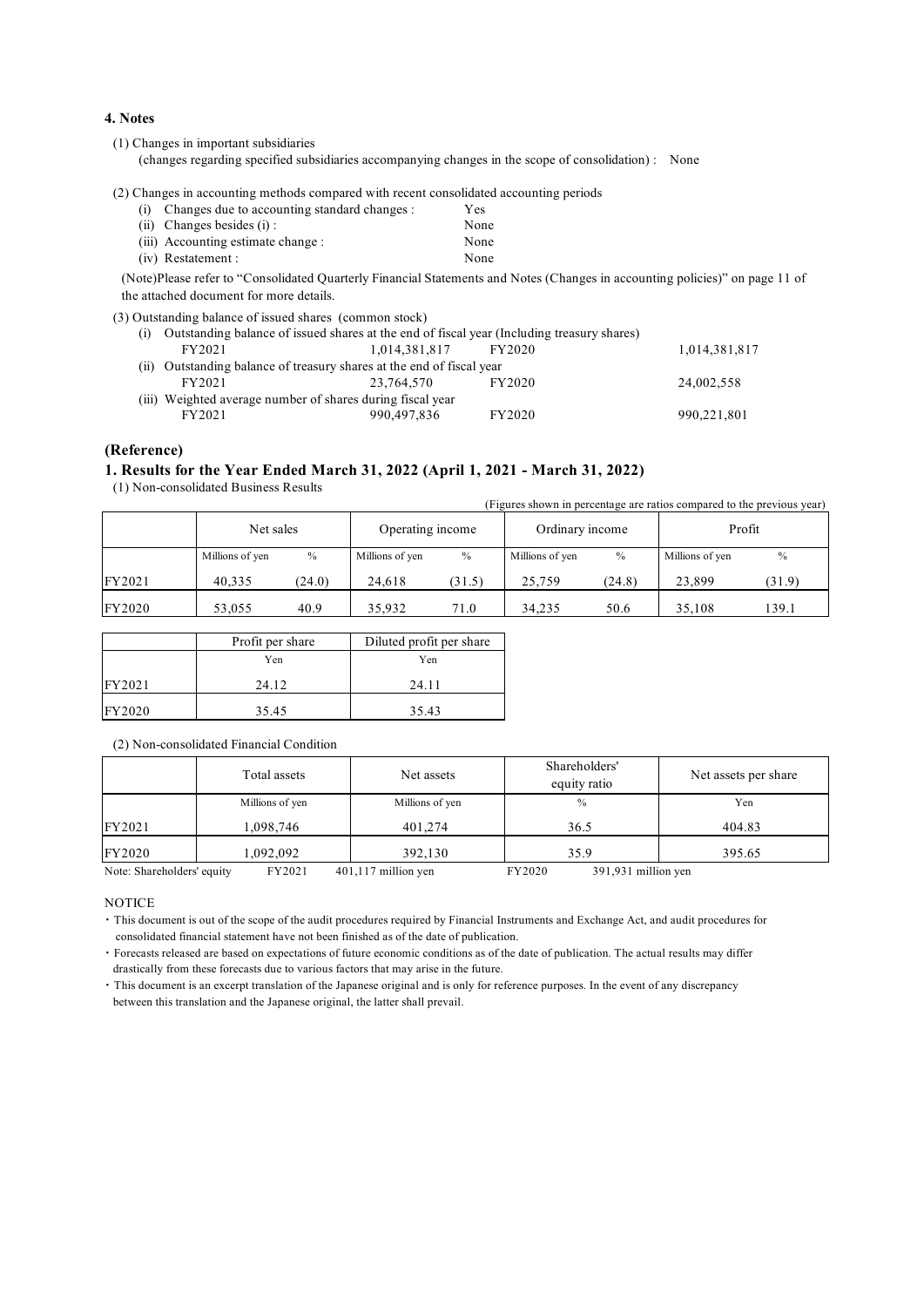#### **4. Notes**

(1) Changes in important subsidiaries

(changes regarding specified subsidiaries accompanying changes in the scope of consolidation) : None

(2) Changes in accounting methods compared with recent consolidated accounting periods

| (i) Changes due to accounting standard changes : | Yes  |
|--------------------------------------------------|------|
| $(ii)$ Changes besides $(i)$ :                   | None |
| (iii) Accounting estimate change :               | None |
| (iv) Restatement :                               | None |

(Note)Please refer to "Consolidated Quarterly Financial Statements and Notes (Changes in accounting policies)" on page 11 of the attached document for more details.

(3) Outstanding balance of issued shares (common stock)

| (1) | Outstanding balance of issued shares at the end of fiscal year (Including treasury shares) |               |        |               |
|-----|--------------------------------------------------------------------------------------------|---------------|--------|---------------|
|     | FY2021                                                                                     | 1.014.381.817 | FY2020 | 1,014,381,817 |
|     | (ii) Outstanding balance of treasury shares at the end of fiscal year                      |               |        |               |
|     | FY2021                                                                                     | 23.764.570    | FY2020 | 24,002,558    |
|     | (iii) Weighted average number of shares during fiscal year                                 |               |        |               |
|     | FY2021                                                                                     | 990,497,836   | FY2020 | 990,221,801   |

#### **(Reference)**

#### **1. Results for the Year Ended March 31, 2022 (April 1, 2021 - March 31, 2022)**

(1) Non-consolidated Business Results

(Figures shown in percentage are ratios compared to the previous year)

|        | Net sales       |        | Operating income |        | Ordinary income |        | Profit          |               |
|--------|-----------------|--------|------------------|--------|-----------------|--------|-----------------|---------------|
|        | Millions of yen | $\%$   | Millions of yen  | $\%$   | Millions of yen | $\%$   | Millions of yen | $\frac{0}{0}$ |
| FY2021 | 40.335          | (24.0) | 24.618           | (31.5) | 25,759          | (24.8) | 23,899          | (31.9)        |
| FY2020 | 53,055          | 40.9   | 35.932           | 71.0   | 34.235          | 50.6   | 35,108          | 139.1         |

|        | Profit per share | Diluted profit per share |
|--------|------------------|--------------------------|
|        | Yen              | Yen                      |
| FY2021 | 24.12            | 24.11                    |
| FY2020 | 35.45            | 35.43                    |

(2) Non-consolidated Financial Condition

|                            | Total assets    | Net assets            | Shareholders'<br>equity ratio | Net assets per share |
|----------------------------|-----------------|-----------------------|-------------------------------|----------------------|
|                            | Millions of yen | Millions of yen       | $\%$                          | Yen                  |
| FY2021                     | 1,098,746       | 401.274               | 36.5                          | 404.83               |
| FY2020                     | 1,092,092       | 392,130               | 35.9                          | 395.65               |
| Note: Shareholders' equity | FY2021          | $401,117$ million yen | FY2020<br>391,931 million yen |                      |

**NOTICE** 

・ This document is out of the scope of the audit procedures required by Financial Instruments and Exchange Act, and audit procedures for consolidated financial statement have not been finished as of the date of publication.

・ Forecasts released are based on expectations of future economic conditions as of the date of publication. The actual results may differ drastically from these forecasts due to various factors that may arise in the future.

・ This document is an excerpt translation of the Japanese original and is only for reference purposes. In the event of any discrepancy between this translation and the Japanese original, the latter shall prevail.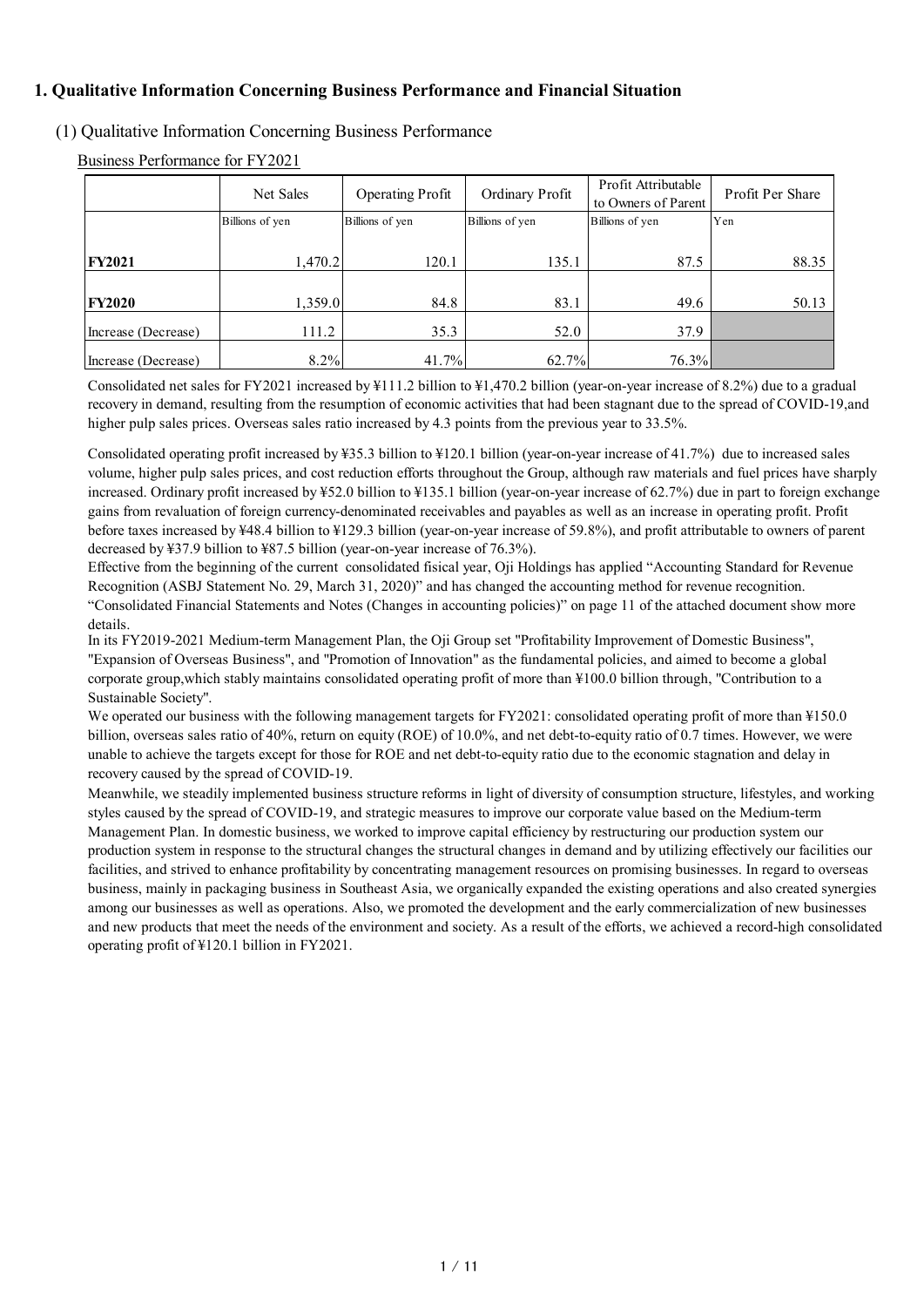## **1. Qualitative Information Concerning Business Performance and Financial Situation**

## (1) Qualitative Information Concerning Business Performance

Business Performance for FY2021

|                     | Net Sales       | <b>Operating Profit</b> | Ordinary Profit | Profit Attributable<br>to Owners of Parent | Profit Per Share |
|---------------------|-----------------|-------------------------|-----------------|--------------------------------------------|------------------|
|                     | Billions of yen | Billions of yen         | Billions of yen | Billions of yen                            | Yen              |
| <b>FY2021</b>       | 1,470.2         | 120.1                   | 135.1           | 87.5                                       | 88.35            |
| <b>FY2020</b>       | 1,359.0         | 84.8                    | 83.1            | 49.6                                       | 50.13            |
| Increase (Decrease) | 111.2           | 35.3                    | 52.0            | 37.9                                       |                  |
| Increase (Decrease) | 8.2%            | 41.7%                   | 62.7%           | 76.3%                                      |                  |

Consolidated net sales for FY2021 increased by ¥111.2 billion to ¥1,470.2 billion (year-on-year increase of 8.2%) due to a gradual recovery in demand, resulting from the resumption of economic activities that had been stagnant due to the spread of COVID-19,and higher pulp sales prices. Overseas sales ratio increased by 4.3 points from the previous year to 33.5%.

Consolidated operating profit increased by ¥35.3 billion to ¥120.1 billion (year-on-year increase of 41.7%) due to increased sales volume, higher pulp sales prices, and cost reduction efforts throughout the Group, although raw materials and fuel prices have sharply increased. Ordinary profit increased by ¥52.0 billion to ¥135.1 billion (year-on-year increase of 62.7%) due in part to foreign exchange gains from revaluation of foreign currency-denominated receivables and payables as well as an increase in operating profit. Profit before taxes increased by ¥48.4 billion to ¥129.3 billion (year-on-year increase of 59.8%), and profit attributable to owners of parent decreased by ¥37.9 billion to ¥87.5 billion (year-on-year increase of 76.3%).

Effective from the beginning of the current consolidated fisical year, Oji Holdings has applied "Accounting Standard for Revenue Recognition (ASBJ Statement No. 29, March 31, 2020)" and has changed the accounting method for revenue recognition. "Consolidated Financial Statements and Notes (Changes in accounting policies)" on page 11 of the attached document show more details.

In its FY2019-2021 Medium-term Management Plan, the Oji Group set "Profitability Improvement of Domestic Business", "Expansion of Overseas Business", and "Promotion of Innovation" as the fundamental policies, and aimed to become a global corporate group,which stably maintains consolidated operating profit of more than ¥100.0 billion through, "Contribution to a Sustainable Society".

We operated our business with the following management targets for FY2021: consolidated operating profit of more than ¥150.0 billion, overseas sales ratio of 40%, return on equity (ROE) of 10.0%, and net debt-to-equity ratio of 0.7 times. However, we were unable to achieve the targets except for those for ROE and net debt-to-equity ratio due to the economic stagnation and delay in recovery caused by the spread of COVID-19.

Meanwhile, we steadily implemented business structure reforms in light of diversity of consumption structure, lifestyles, and working styles caused by the spread of COVID-19, and strategic measures to improve our corporate value based on the Medium-term Management Plan. In domestic business, we worked to improve capital efficiency by restructuring our production system our production system in response to the structural changes the structural changes in demand and by utilizing effectively our facilities our facilities, and strived to enhance profitability by concentrating management resources on promising businesses. In regard to overseas business, mainly in packaging business in Southeast Asia, we organically expanded the existing operations and also created synergies among our businesses as well as operations. Also, we promoted the development and the early commercialization of new businesses and new products that meet the needs of the environment and society. As a result of the efforts, we achieved a record-high consolidated operating profit of ¥120.1 billion in FY2021.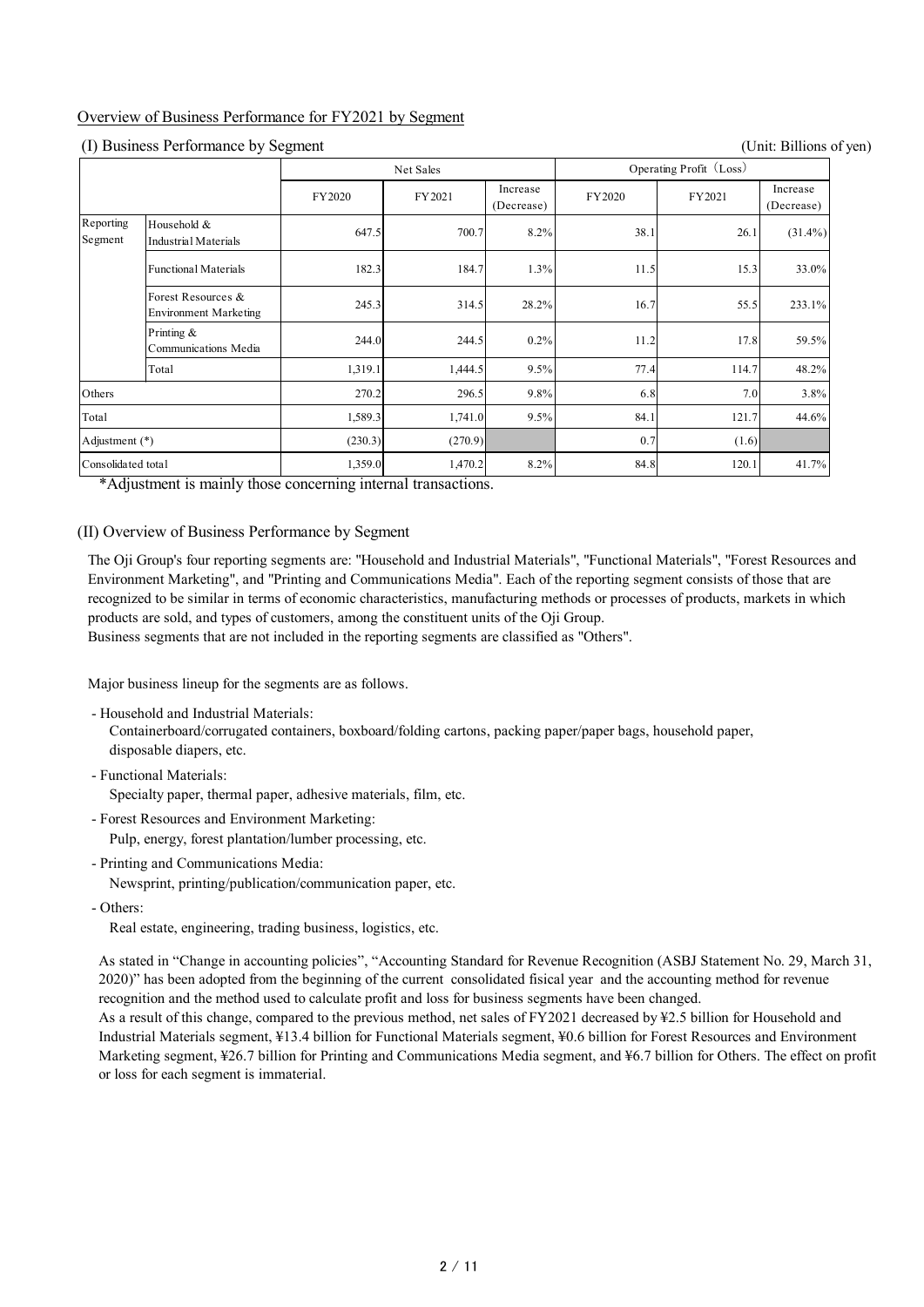## Overview of Business Performance for FY2021 by Segment

### (I) Business Performance by Segment (Unit: Billions of yen)

|                      |                                                    | Net Sales |         | Operating Profit (Loss) |        |        |                        |
|----------------------|----------------------------------------------------|-----------|---------|-------------------------|--------|--------|------------------------|
|                      |                                                    | FY2020    | FY2021  | Increase<br>(Decrease)  | FY2020 | FY2021 | Increase<br>(Decrease) |
| Reporting<br>Segment | Household &<br>Industrial Materials                | 647.5     | 700.7   | 8.2%                    | 38.1   | 26.1   | $(31.4\%)$             |
|                      | <b>Functional Materials</b>                        | 182.3     | 184.7   | 1.3%                    | 11.5   | 15.3   | 33.0%                  |
|                      | Forest Resources &<br><b>Environment Marketing</b> | 245.3     | 314.5   | 28.2%                   | 16.7   | 55.5   | 233.1%                 |
|                      | Printing &<br>Communications Media                 | 244.0     | 244.5   | 0.2%                    | 11.2   | 17.8   | 59.5%                  |
|                      | Total                                              | 1,319.1   | 1,444.5 | 9.5%                    | 77.4   | 114.7  | 48.2%                  |
| Others               |                                                    | 270.2     | 296.5   | 9.8%                    | 6.8    | 7.0    | 3.8%                   |
| Total                |                                                    | 1,589.3   | 1,741.0 | 9.5%                    | 84.1   | 121.7  | 44.6%                  |
| Adjustment (*)       |                                                    | (230.3)   | (270.9) |                         | 0.7    | (1.6)  |                        |
| Consolidated total   |                                                    | 1,359.0   | 1,470.2 | 8.2%                    | 84.8   | 120.1  | 41.7%                  |

\*Adjustment is mainly those concerning internal transactions.

## (II) Overview of Business Performance by Segment

The Oji Group's four reporting segments are: "Household and Industrial Materials", "Functional Materials", "Forest Resources and Environment Marketing", and "Printing and Communications Media". Each of the reporting segment consists of those that are recognized to be similar in terms of economic characteristics, manufacturing methods or processes of products, markets in which products are sold, and types of customers, among the constituent units of the Oji Group.

Business segments that are not included in the reporting segments are classified as "Others".

Major business lineup for the segments are as follows.

- Household and Industrial Materials:

Containerboard/corrugated containers, boxboard/folding cartons, packing paper/paper bags, household paper, disposable diapers, etc.

- Functional Materials:

Specialty paper, thermal paper, adhesive materials, film, etc.

- Forest Resources and Environment Marketing: Pulp, energy, forest plantation/lumber processing, etc.
- Printing and Communications Media:

Newsprint, printing/publication/communication paper, etc.

- Others:

Real estate, engineering, trading business, logistics, etc.

As stated in "Change in accounting policies", "Accounting Standard for Revenue Recognition (ASBJ Statement No. 29, March 31, 2020)" has been adopted from the beginning of the current consolidated fisical year and the accounting method for revenue recognition and the method used to calculate profit and loss for business segments have been changed.

As a result of this change, compared to the previous method, net sales of FY2021 decreased by ¥2.5 billion for Household and Industrial Materials segment, ¥13.4 billion for Functional Materials segment, ¥0.6 billion for Forest Resources and Environment Marketing segment, ¥26.7 billion for Printing and Communications Media segment, and ¥6.7 billion for Others. The effect on profit or loss for each segment is immaterial.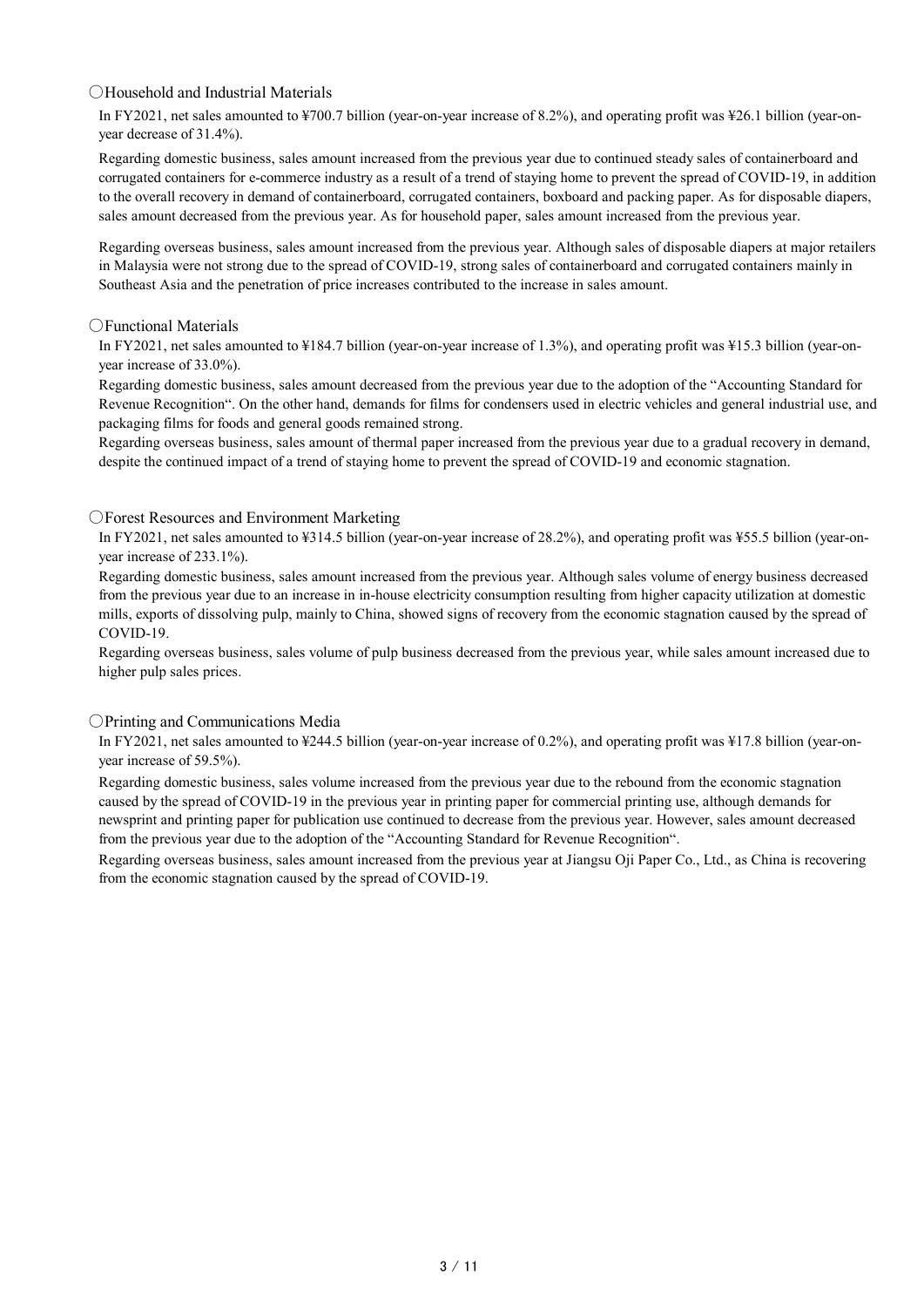## ○Household and Industrial Materials

In FY2021, net sales amounted to ¥700.7 billion (year-on-year increase of 8.2%), and operating profit was ¥26.1 billion (year-onyear decrease of 31.4%).

Regarding domestic business, sales amount increased from the previous year due to continued steady sales of containerboard and corrugated containers for e-commerce industry as a result of a trend of staying home to prevent the spread of COVID-19, in addition to the overall recovery in demand of containerboard, corrugated containers, boxboard and packing paper. As for disposable diapers, sales amount decreased from the previous year. As for household paper, sales amount increased from the previous year.

Regarding overseas business, sales amount increased from the previous year. Although sales of disposable diapers at major retailers in Malaysia were not strong due to the spread of COVID-19, strong sales of containerboard and corrugated containers mainly in Southeast Asia and the penetration of price increases contributed to the increase in sales amount.

## ○Functional Materials

In FY2021, net sales amounted to ¥184.7 billion (year-on-year increase of 1.3%), and operating profit was ¥15.3 billion (year-onyear increase of 33.0%).

Regarding domestic business, sales amount decreased from the previous year due to the adoption of the "Accounting Standard for Revenue Recognition". On the other hand, demands for films for condensers used in electric vehicles and general industrial use, and packaging films for foods and general goods remained strong.

Regarding overseas business, sales amount of thermal paper increased from the previous year due to a gradual recovery in demand, despite the continued impact of a trend of staying home to prevent the spread of COVID-19 and economic stagnation.

## ○Forest Resources and Environment Marketing

In FY2021, net sales amounted to ¥314.5 billion (year-on-year increase of 28.2%), and operating profit was ¥55.5 billion (year-onyear increase of 233.1%).

Regarding domestic business, sales amount increased from the previous year. Although sales volume of energy business decreased from the previous year due to an increase in in-house electricity consumption resulting from higher capacity utilization at domestic mills, exports of dissolving pulp, mainly to China, showed signs of recovery from the economic stagnation caused by the spread of COVID-19.

Regarding overseas business, sales volume of pulp business decreased from the previous year, while sales amount increased due to higher pulp sales prices.

#### ○Printing and Communications Media

In FY2021, net sales amounted to ¥244.5 billion (year-on-year increase of 0.2%), and operating profit was ¥17.8 billion (year-onyear increase of 59.5%).

Regarding domestic business, sales volume increased from the previous year due to the rebound from the economic stagnation caused by the spread of COVID-19 in the previous year in printing paper for commercial printing use, although demands for newsprint and printing paper for publication use continued to decrease from the previous year. However, sales amount decreased from the previous year due to the adoption of the "Accounting Standard for Revenue Recognition".

Regarding overseas business, sales amount increased from the previous year at Jiangsu Oji Paper Co., Ltd., as China is recovering from the economic stagnation caused by the spread of COVID-19.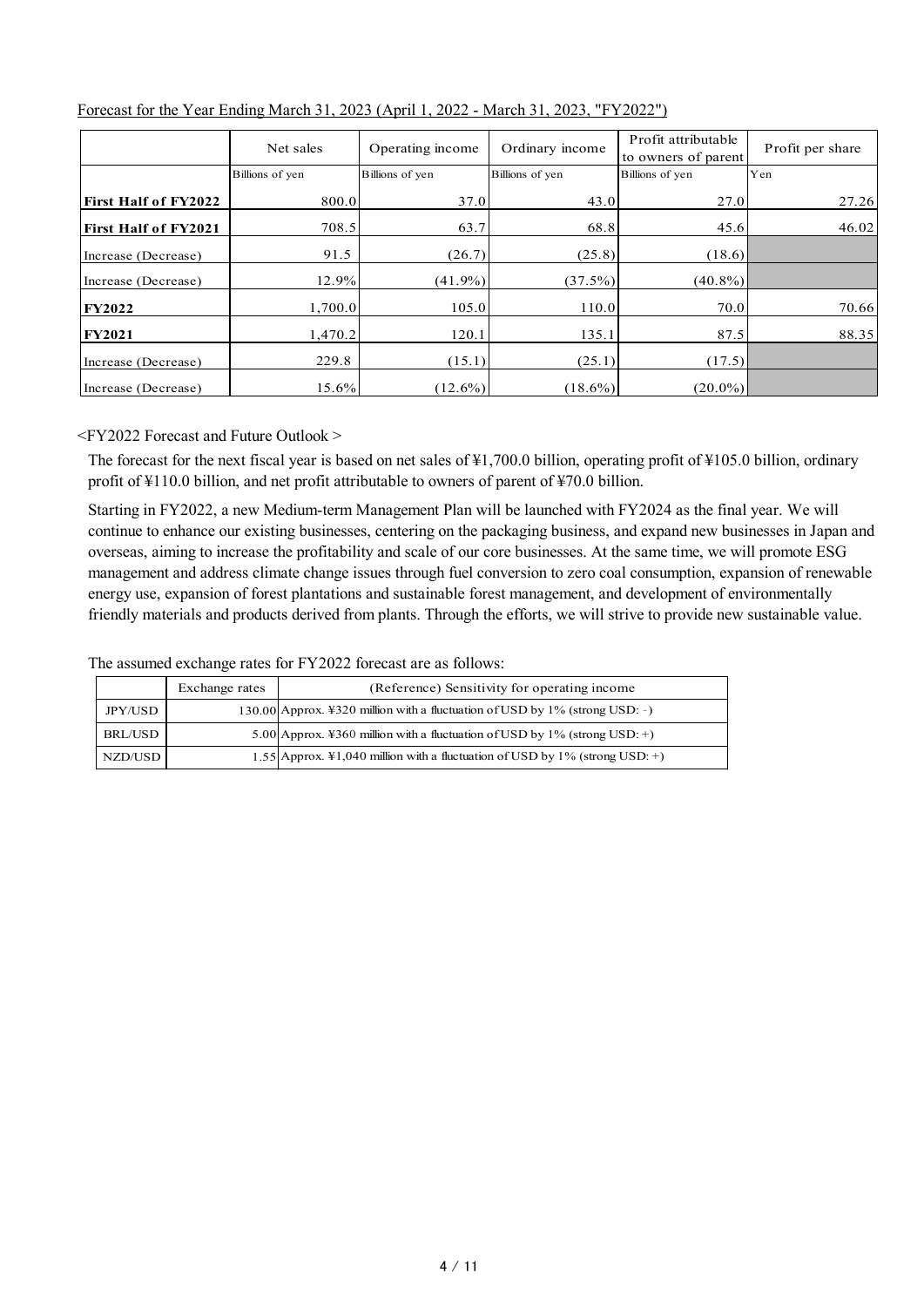|                             | Net sales       | Operating income | Ordinary income | Profit attributable<br>to owners of parent | Profit per share |
|-----------------------------|-----------------|------------------|-----------------|--------------------------------------------|------------------|
|                             | Billions of yen | Billions of yen  | Billions of yen | Billions of yen                            | Yen              |
| <b>First Half of FY2022</b> | 800.0           | 37.0             | 43.0            | 27.0                                       | 27.26            |
| <b>First Half of FY2021</b> | 708.5           | 63.7             | 68.8            | 45.6                                       | 46.02            |
| Increase (Decrease)         | 91.5            | (26.7)           | (25.8)          | (18.6)                                     |                  |
| Increase (Decrease)         | 12.9%           | $(41.9\%)$       | (37.5%)         | $(40.8\%)$                                 |                  |
| <b>FY2022</b>               | 1,700.0         | 105.0            | 110.0           | 70.0                                       | 70.66            |
| <b>FY2021</b>               | 1,470.2         | 120.1            | 135.1           | 87.5                                       | 88.35            |
| Increase (Decrease)         | 229.8           | (15.1)           | (25.1)          | (17.5)                                     |                  |
| Increase (Decrease)         | 15.6%           | $(12.6\%)$       | $(18.6\%)$      | $(20.0\%)$                                 |                  |

## Forecast for the Year Ending March 31, 2023 (April 1, 2022 - March 31, 2023, "FY2022")

<FY2022 Forecast and Future Outlook >

The forecast for the next fiscal year is based on net sales of ¥1,700.0 billion, operating profit of ¥105.0 billion, ordinary profit of ¥110.0 billion, and net profit attributable to owners of parent of ¥70.0 billion.

Starting in FY2022, a new Medium-term Management Plan will be launched with FY2024 as the final year. We will continue to enhance our existing businesses, centering on the packaging business, and expand new businesses in Japan and overseas, aiming to increase the profitability and scale of our core businesses. At the same time, we will promote ESG management and address climate change issues through fuel conversion to zero coal consumption, expansion of renewable energy use, expansion of forest plantations and sustainable forest management, and development of environmentally friendly materials and products derived from plants. Through the efforts, we will strive to provide new sustainable value.

The assumed exchange rates for FY2022 forecast are as follows:

|         | Exchange rates | (Reference) Sensitivity for operating income                                 |
|---------|----------------|------------------------------------------------------------------------------|
| JPY/USD |                | 130.00 Approx. ¥320 million with a fluctuation of USD by 1% (strong USD: -)  |
| BRL/USD |                | 5.00 Approx. ¥360 million with a fluctuation of USD by $1\%$ (strong USD: +) |
| NZD/USD |                | 1.55 Approx. ¥1,040 million with a fluctuation of USD by 1% (strong USD: +)  |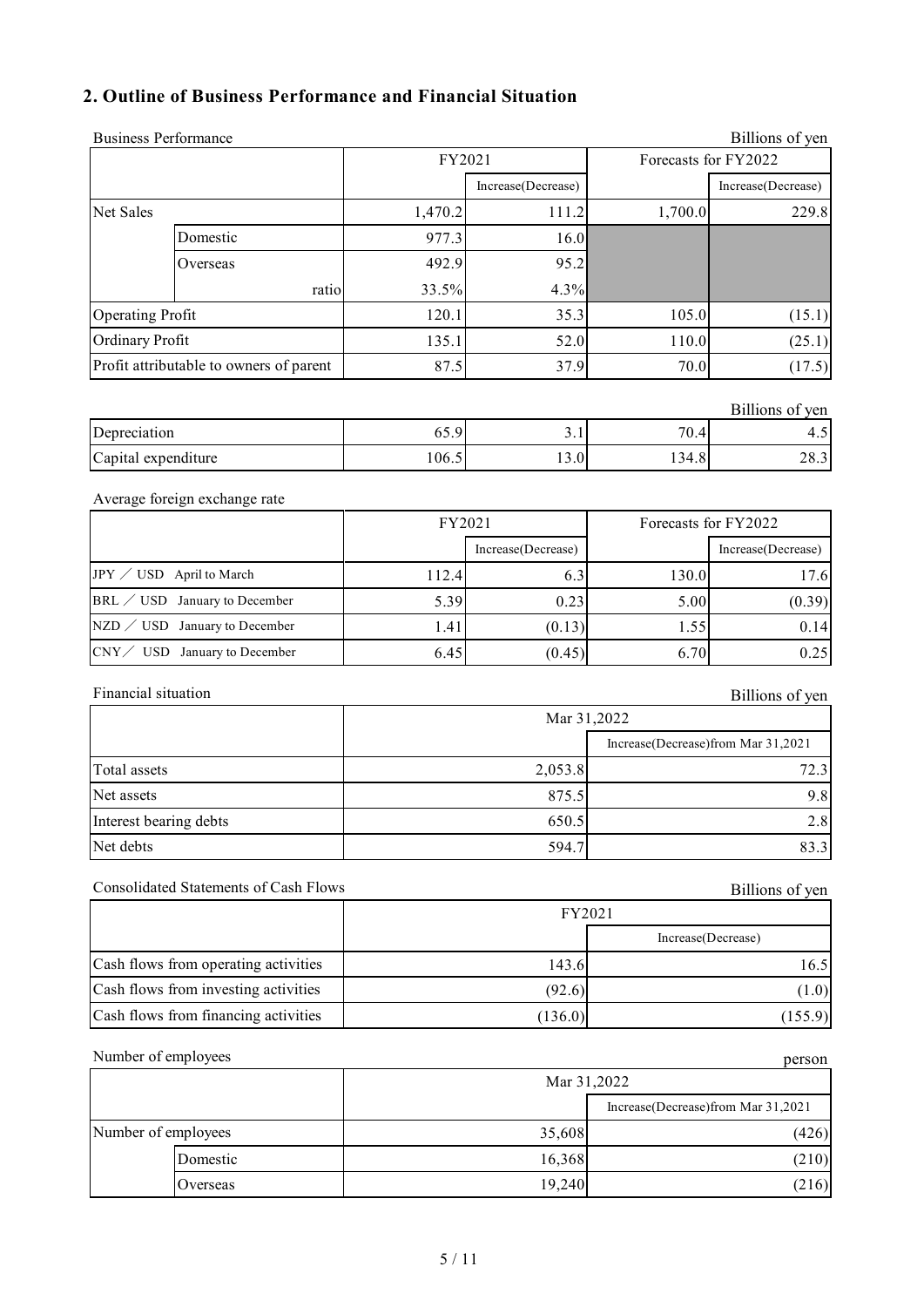# **2. Outline of Business Performance and Financial Situation**

| 1,700.0<br>105.0<br>110.0<br>70.0<br>70.4<br>134.8<br>130.0 | Forecasts for FY2022<br>Increase(Decrease)<br>229.8<br>(15.1)<br>(25.1)<br>(17.5)<br>Billions of yen<br>4.5<br>28.3<br>Forecasts for FY2022 |
|-------------------------------------------------------------|---------------------------------------------------------------------------------------------------------------------------------------------|
|                                                             |                                                                                                                                             |
|                                                             |                                                                                                                                             |
|                                                             |                                                                                                                                             |
|                                                             |                                                                                                                                             |
|                                                             |                                                                                                                                             |
|                                                             |                                                                                                                                             |
|                                                             |                                                                                                                                             |
|                                                             |                                                                                                                                             |
|                                                             |                                                                                                                                             |
|                                                             |                                                                                                                                             |
|                                                             |                                                                                                                                             |
|                                                             |                                                                                                                                             |
|                                                             |                                                                                                                                             |
|                                                             |                                                                                                                                             |
|                                                             | Increase(Decrease)                                                                                                                          |
|                                                             | 17.6                                                                                                                                        |
| 5.00                                                        | (0.39)                                                                                                                                      |
| 1.55                                                        | 0.14                                                                                                                                        |
| 6.70                                                        | 0.25                                                                                                                                        |
|                                                             | Billions of yen                                                                                                                             |
|                                                             |                                                                                                                                             |
|                                                             | Increase(Decrease)from Mar 31,2021                                                                                                          |
|                                                             | 72.3                                                                                                                                        |
| 9.8                                                         |                                                                                                                                             |
|                                                             | 2.8                                                                                                                                         |
|                                                             | 83.3                                                                                                                                        |
|                                                             | Billions of yen                                                                                                                             |
|                                                             |                                                                                                                                             |
|                                                             | Increase(Decrease)                                                                                                                          |
|                                                             | 16.5                                                                                                                                        |
|                                                             | (1.0)                                                                                                                                       |
| (155.9)                                                     |                                                                                                                                             |
|                                                             | person                                                                                                                                      |
|                                                             |                                                                                                                                             |
|                                                             | Increase(Decrease)from Mar 31,2021                                                                                                          |
|                                                             | (426)                                                                                                                                       |
|                                                             | (210)                                                                                                                                       |
|                                                             | (216)                                                                                                                                       |
|                                                             |                                                                                                                                             |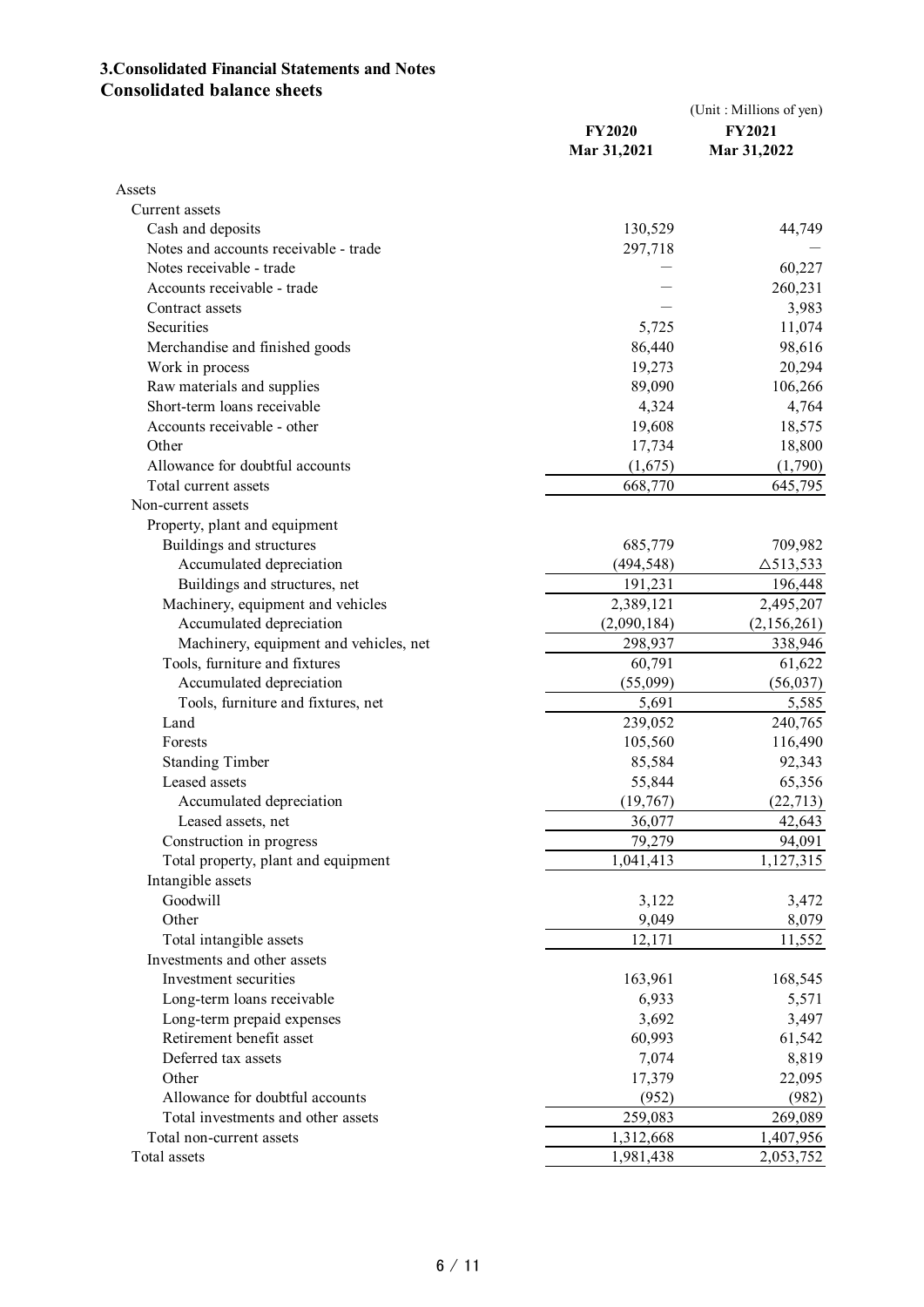# **3.Consolidated Financial Statements and Notes Consolidated balance sheets**

|                                        | <b>FY2020</b><br>Mar 31,2021 | (Unit: Millions of yen)<br><b>FY2021</b><br>Mar 31,2022 |
|----------------------------------------|------------------------------|---------------------------------------------------------|
| Assets                                 |                              |                                                         |
| Current assets                         |                              |                                                         |
| Cash and deposits                      | 130,529                      | 44,749                                                  |
| Notes and accounts receivable - trade  | 297,718                      |                                                         |
| Notes receivable - trade               |                              | 60,227                                                  |
| Accounts receivable - trade            |                              | 260,231                                                 |
| Contract assets                        |                              | 3,983                                                   |
| Securities                             | 5,725                        | 11,074                                                  |
| Merchandise and finished goods         | 86,440                       | 98,616                                                  |
| Work in process                        | 19,273                       | 20,294                                                  |
| Raw materials and supplies             | 89,090                       | 106,266                                                 |
| Short-term loans receivable            | 4,324                        | 4,764                                                   |
| Accounts receivable - other            | 19,608                       | 18,575                                                  |
| Other                                  | 17,734                       | 18,800                                                  |
| Allowance for doubtful accounts        | (1,675)                      | (1,790)                                                 |
| Total current assets                   | 668,770                      | 645,795                                                 |
| Non-current assets                     |                              |                                                         |
| Property, plant and equipment          |                              |                                                         |
| Buildings and structures               | 685,779                      | 709,982                                                 |
| Accumulated depreciation               | (494, 548)                   | $\triangle$ 513,533                                     |
| Buildings and structures, net          | 191,231                      | 196,448                                                 |
| Machinery, equipment and vehicles      | 2,389,121                    | 2,495,207                                               |
| Accumulated depreciation               | (2,090,184)                  | (2,156,261)                                             |
| Machinery, equipment and vehicles, net | 298,937                      | 338,946                                                 |
| Tools, furniture and fixtures          | 60,791                       | 61,622                                                  |
| Accumulated depreciation               | (55,099)                     | (56,037)                                                |
| Tools, furniture and fixtures, net     | 5,691                        | 5,585                                                   |
| Land                                   | 239,052                      | 240,765                                                 |
| Forests                                | 105,560                      | 116,490                                                 |
| <b>Standing Timber</b>                 | 85,584                       | 92,343                                                  |
| Leased assets                          | 55,844                       | 65,356                                                  |
| Accumulated depreciation               | (19, 767)                    | (22, 713)                                               |
| Leased assets, net                     | 36,077                       | 42,643                                                  |
| Construction in progress               | 79,279                       | 94,091                                                  |
| Total property, plant and equipment    | 1,041,413                    | 1,127,315                                               |
| Intangible assets                      |                              |                                                         |
| Goodwill                               | 3,122                        | 3,472                                                   |
| Other                                  | 9,049                        | 8,079                                                   |
| Total intangible assets                | 12,171                       | 11,552                                                  |
| Investments and other assets           |                              |                                                         |
| Investment securities                  | 163,961                      | 168,545                                                 |
| Long-term loans receivable             | 6,933                        | 5,571                                                   |
| Long-term prepaid expenses             | 3,692                        | 3,497                                                   |
| Retirement benefit asset               | 60,993                       | 61,542                                                  |
| Deferred tax assets                    | 7,074                        | 8,819                                                   |
| Other                                  | 17,379                       | 22,095                                                  |
| Allowance for doubtful accounts        | (952)                        | (982)                                                   |
| Total investments and other assets     | 259,083                      | 269,089                                                 |
| Total non-current assets               | 1,312,668                    | 1,407,956                                               |
| Total assets                           | 1,981,438                    | 2,053,752                                               |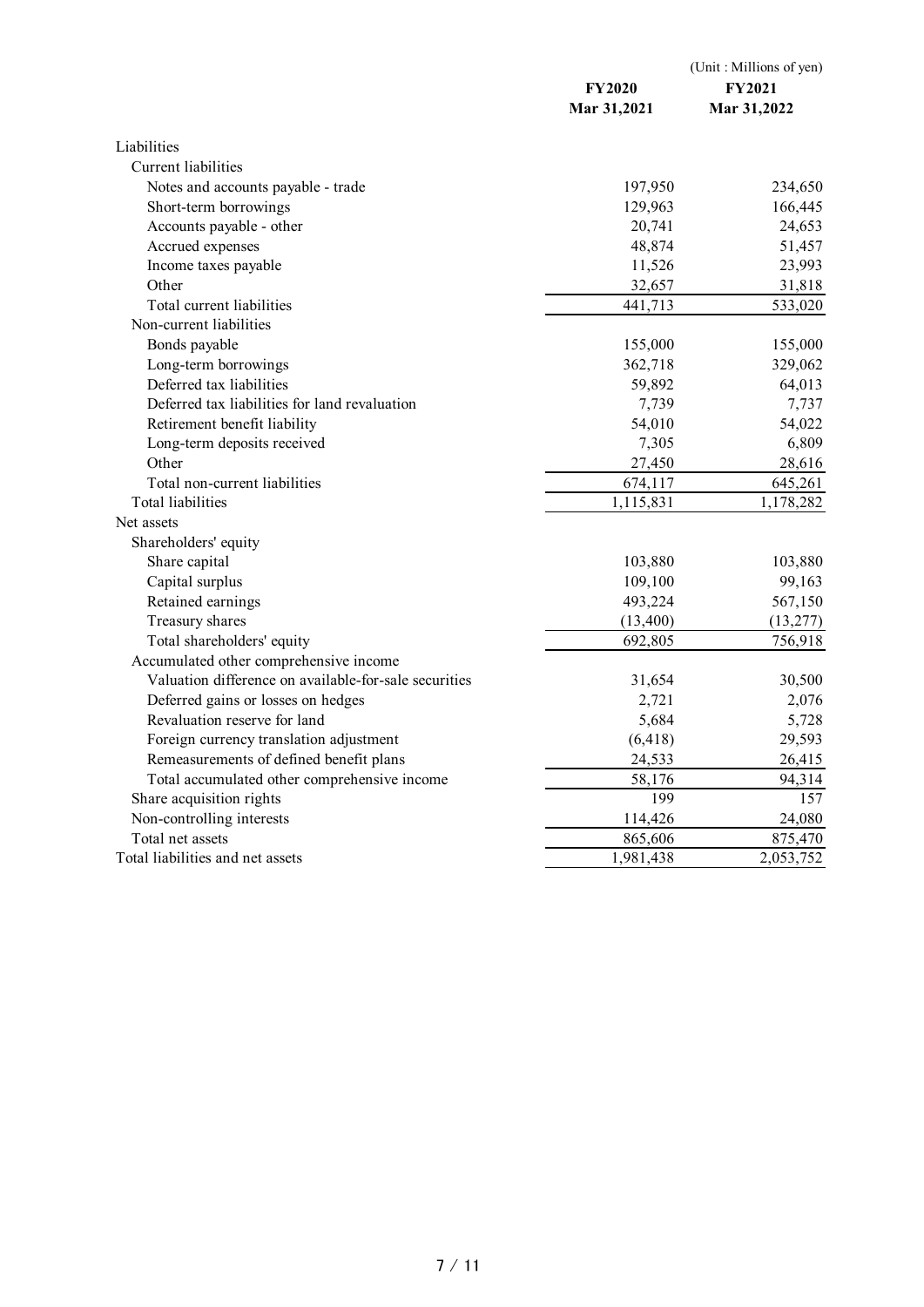|                                                       | <b>FY2020</b><br>Mar 31,2021 | (Unit: Millions of yen)<br><b>FY2021</b><br>Mar 31,2022 |
|-------------------------------------------------------|------------------------------|---------------------------------------------------------|
| Liabilities                                           |                              |                                                         |
| <b>Current liabilities</b>                            |                              |                                                         |
| Notes and accounts payable - trade                    | 197,950                      | 234,650                                                 |
| Short-term borrowings                                 | 129,963                      | 166,445                                                 |
| Accounts payable - other                              | 20,741                       | 24,653                                                  |
| Accrued expenses                                      | 48,874                       | 51,457                                                  |
| Income taxes payable                                  | 11,526                       | 23,993                                                  |
| Other                                                 | 32,657                       | 31,818                                                  |
| Total current liabilities                             | 441,713                      | 533,020                                                 |
| Non-current liabilities                               |                              |                                                         |
| Bonds payable                                         | 155,000                      | 155,000                                                 |
| Long-term borrowings                                  | 362,718                      | 329,062                                                 |
| Deferred tax liabilities                              | 59,892                       | 64,013                                                  |
| Deferred tax liabilities for land revaluation         | 7,739                        | 7,737                                                   |
| Retirement benefit liability                          | 54,010                       | 54,022                                                  |
| Long-term deposits received                           | 7,305                        | 6,809                                                   |
| Other                                                 | 27,450                       | 28,616                                                  |
| Total non-current liabilities                         | 674,117                      | 645,261                                                 |
| Total liabilities                                     | 1,115,831                    | 1,178,282                                               |
| Net assets                                            |                              |                                                         |
| Shareholders' equity                                  |                              |                                                         |
| Share capital                                         | 103,880                      | 103,880                                                 |
| Capital surplus                                       | 109,100                      | 99,163                                                  |
| Retained earnings                                     | 493,224                      | 567,150                                                 |
| Treasury shares                                       | (13, 400)                    | (13, 277)                                               |
| Total shareholders' equity                            | 692,805                      | 756,918                                                 |
| Accumulated other comprehensive income                |                              |                                                         |
| Valuation difference on available-for-sale securities | 31,654                       | 30,500                                                  |
| Deferred gains or losses on hedges                    | 2,721                        | 2,076                                                   |
| Revaluation reserve for land                          | 5,684                        | 5,728                                                   |
| Foreign currency translation adjustment               | (6, 418)                     | 29,593                                                  |
| Remeasurements of defined benefit plans               | 24,533                       | 26,415                                                  |
| Total accumulated other comprehensive income          | 58,176                       | 94,314                                                  |
| Share acquisition rights                              | 199                          | 157                                                     |
| Non-controlling interests                             | 114,426                      | 24,080                                                  |
| Total net assets                                      | 865,606                      | 875,470                                                 |
| Total liabilities and net assets                      | 1,981,438                    | 2,053,752                                               |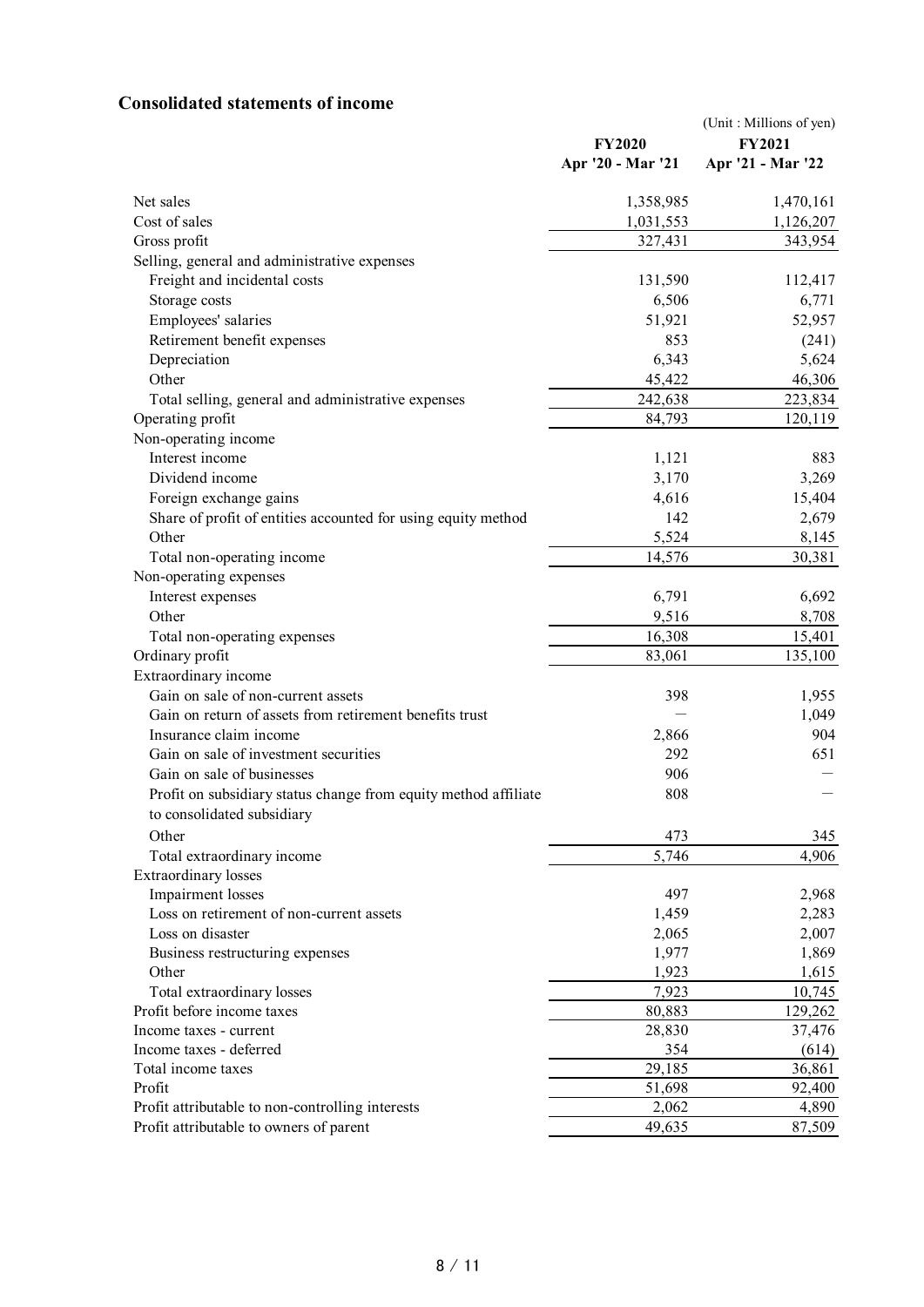# **Consolidated statements of income**

|                                                                 | <b>FY2020</b><br>Apr '20 - Mar '21 | (Unit: Millions of yen)<br><b>FY2021</b><br>Apr '21 - Mar '22 |
|-----------------------------------------------------------------|------------------------------------|---------------------------------------------------------------|
| Net sales                                                       | 1,358,985                          | 1,470,161                                                     |
| Cost of sales                                                   | 1,031,553                          | 1,126,207                                                     |
| Gross profit                                                    | 327,431                            | 343,954                                                       |
| Selling, general and administrative expenses                    |                                    |                                                               |
| Freight and incidental costs                                    | 131,590                            | 112,417                                                       |
| Storage costs                                                   | 6,506                              | 6,771                                                         |
| Employees' salaries                                             | 51,921                             | 52,957                                                        |
| Retirement benefit expenses                                     | 853                                | (241)                                                         |
| Depreciation                                                    | 6,343                              | 5,624                                                         |
| Other                                                           | 45,422                             | 46,306                                                        |
| Total selling, general and administrative expenses              | 242,638                            | 223,834                                                       |
| Operating profit                                                | 84,793                             | 120,119                                                       |
| Non-operating income                                            |                                    |                                                               |
| Interest income                                                 | 1,121                              | 883                                                           |
| Dividend income                                                 | 3,170                              | 3,269                                                         |
| Foreign exchange gains                                          | 4,616                              | 15,404                                                        |
| Share of profit of entities accounted for using equity method   | 142                                | 2,679                                                         |
| Other                                                           | 5,524                              | 8,145                                                         |
| Total non-operating income                                      | 14,576                             | 30,381                                                        |
| Non-operating expenses                                          |                                    |                                                               |
| Interest expenses                                               | 6,791                              | 6,692                                                         |
| Other                                                           | 9,516                              | 8,708                                                         |
| Total non-operating expenses                                    | 16,308                             | 15,401                                                        |
| Ordinary profit                                                 | 83,061                             | 135,100                                                       |
| Extraordinary income                                            |                                    |                                                               |
| Gain on sale of non-current assets                              | 398                                | 1,955                                                         |
| Gain on return of assets from retirement benefits trust         |                                    | 1,049                                                         |
| Insurance claim income                                          | 2,866                              | 904                                                           |
| Gain on sale of investment securities                           | 292                                | 651                                                           |
| Gain on sale of businesses                                      | 906                                |                                                               |
| Profit on subsidiary status change from equity method affiliate | 808                                |                                                               |
| to consolidated subsidiary                                      |                                    |                                                               |
| Other                                                           | 473                                | 345                                                           |
| Total extraordinary income                                      | 5,746                              | 4,906                                                         |
| <b>Extraordinary</b> losses                                     |                                    |                                                               |
| Impairment losses                                               | 497                                | 2,968                                                         |
| Loss on retirement of non-current assets                        | 1,459                              | 2,283                                                         |
| Loss on disaster                                                | 2,065                              | 2,007                                                         |
| Business restructuring expenses                                 | 1,977                              | 1,869                                                         |
| Other                                                           | 1,923                              | 1,615                                                         |
| Total extraordinary losses                                      | 7,923                              | 10,745                                                        |
| Profit before income taxes                                      | 80,883                             | 129,262                                                       |
| Income taxes - current                                          | 28,830                             | 37,476                                                        |
| Income taxes - deferred                                         | 354<br>29,185                      | (614)                                                         |
| Total income taxes<br>Profit                                    |                                    | 36,861                                                        |
| Profit attributable to non-controlling interests                | 51,698<br>2,062                    | 92,400<br>4,890                                               |
| Profit attributable to owners of parent                         | 49,635                             | 87,509                                                        |
|                                                                 |                                    |                                                               |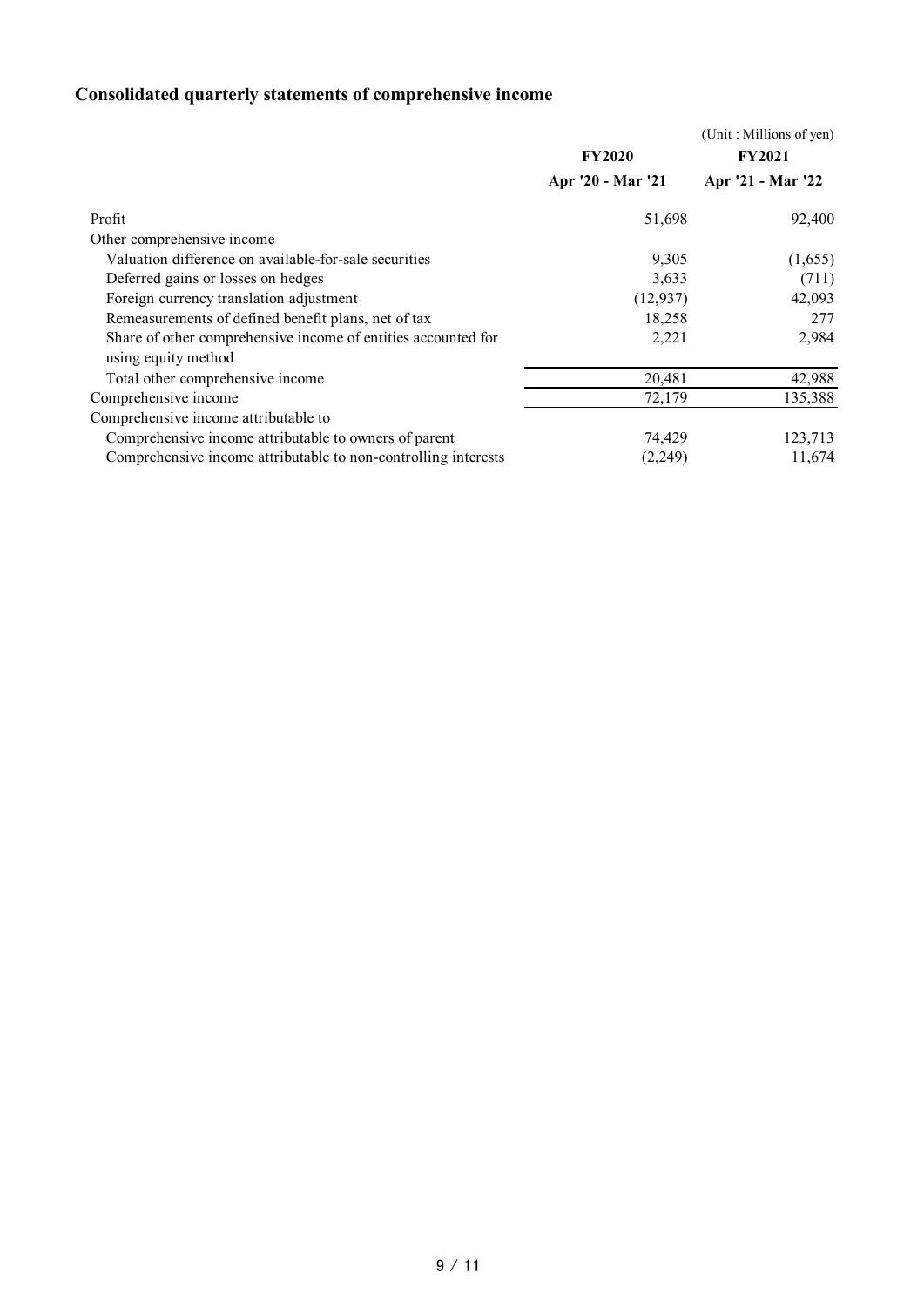# **Consolidated quarterly statements of comprehensive income**

|                                                                | <b>FY2020</b>     | (Unit: Millions of yen)<br><b>FY2021</b> |  |
|----------------------------------------------------------------|-------------------|------------------------------------------|--|
|                                                                | Apr '20 - Mar '21 | Apr '21 - Mar '22                        |  |
| Profit                                                         | 51,698            | 92,400                                   |  |
| Other comprehensive income                                     |                   |                                          |  |
| Valuation difference on available-for-sale securities          | 9,305             | (1,655)                                  |  |
| Deferred gains or losses on hedges                             | 3,633             | (711)                                    |  |
| Foreign currency translation adjustment                        | (12, 937)         | 42,093                                   |  |
| Remeasurements of defined benefit plans, net of tax            | 18,258            | 277                                      |  |
| Share of other comprehensive income of entities accounted for  | 2,221             | 2,984                                    |  |
| using equity method                                            |                   |                                          |  |
| Total other comprehensive income                               | 20,481            | 42,988                                   |  |
| Comprehensive income                                           | 72,179            | 135,388                                  |  |
| Comprehensive income attributable to                           |                   |                                          |  |
| Comprehensive income attributable to owners of parent          | 74,429            | 123,713                                  |  |
| Comprehensive income attributable to non-controlling interests | (2,249)           | 11,674                                   |  |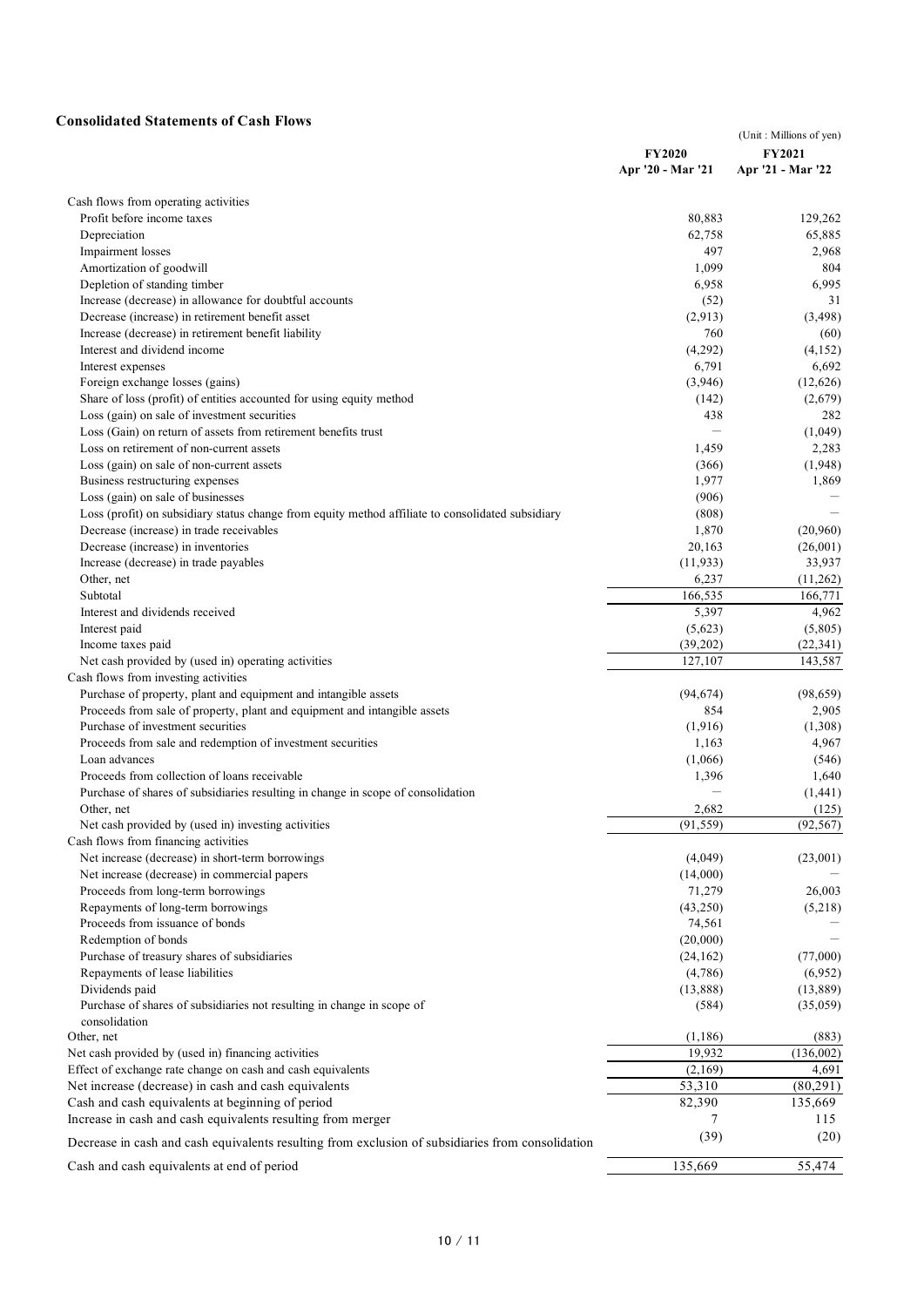## **Consolidated Statements of Cash Flows**

| Consonuateu Statements of Cash Flows                                                              | <b>FY2020</b><br>Apr '20 - Mar '21 | (Unit: Millions of yen)<br><b>FY2021</b><br>Apr '21 - Mar '22 |
|---------------------------------------------------------------------------------------------------|------------------------------------|---------------------------------------------------------------|
| Cash flows from operating activities                                                              |                                    |                                                               |
| Profit before income taxes                                                                        | 80,883                             | 129,262                                                       |
| Depreciation                                                                                      | 62,758                             | 65,885                                                        |
| Impairment losses                                                                                 | 497                                | 2,968                                                         |
| Amortization of goodwill                                                                          | 1,099                              | 804                                                           |
| Depletion of standing timber                                                                      | 6,958                              | 6,995                                                         |
| Increase (decrease) in allowance for doubtful accounts                                            | (52)                               | 31                                                            |
| Decrease (increase) in retirement benefit asset                                                   | (2,913)                            | (3, 498)                                                      |
| Increase (decrease) in retirement benefit liability                                               | 760                                | (60)                                                          |
| Interest and dividend income                                                                      | (4,292)                            | (4,152)                                                       |
| Interest expenses                                                                                 | 6,791                              | 6,692                                                         |
| Foreign exchange losses (gains)                                                                   | (3,946)                            | (12,626)                                                      |
| Share of loss (profit) of entities accounted for using equity method                              | (142)                              | (2,679)                                                       |
| Loss (gain) on sale of investment securities                                                      | 438                                | 282                                                           |
| Loss (Gain) on return of assets from retirement benefits trust                                    |                                    | (1,049)                                                       |
| Loss on retirement of non-current assets                                                          | 1,459                              | 2,283                                                         |
| Loss (gain) on sale of non-current assets                                                         | (366)                              | (1,948)                                                       |
| Business restructuring expenses                                                                   | 1,977                              | 1,869                                                         |
| Loss (gain) on sale of businesses                                                                 | (906)                              |                                                               |
| Loss (profit) on subsidiary status change from equity method affiliate to consolidated subsidiary | (808)                              |                                                               |
| Decrease (increase) in trade receivables                                                          | 1,870                              | (20,960)                                                      |
| Decrease (increase) in inventories                                                                | 20,163                             | (26,001)                                                      |
| Increase (decrease) in trade payables                                                             | (11,933)                           | 33,937                                                        |
| Other, net                                                                                        | 6,237                              | (11,262)                                                      |
| Subtotal                                                                                          | 166,535                            | 166,771                                                       |
| Interest and dividends received                                                                   | 5,397                              | 4,962                                                         |
| Interest paid                                                                                     | (5,623)                            | (5,805)                                                       |
| Income taxes paid                                                                                 | (39,202)                           | (22, 341)                                                     |
| Net cash provided by (used in) operating activities                                               | 127,107                            | 143,587                                                       |
| Cash flows from investing activities                                                              |                                    |                                                               |
| Purchase of property, plant and equipment and intangible assets                                   | (94, 674)                          | (98, 659)                                                     |
| Proceeds from sale of property, plant and equipment and intangible assets                         | 854                                | 2,905                                                         |
| Purchase of investment securities                                                                 | (1,916)                            | (1,308)                                                       |
| Proceeds from sale and redemption of investment securities                                        | 1,163                              | 4,967                                                         |
| Loan advances                                                                                     | (1,066)                            | (546)                                                         |
| Proceeds from collection of loans receivable                                                      | 1,396                              | 1,640                                                         |
| Purchase of shares of subsidiaries resulting in change in scope of consolidation                  |                                    | (1, 441)                                                      |
| Other, net                                                                                        | 2,682                              | (125)                                                         |
| Net cash provided by (used in) investing activities                                               | (91, 559)                          | (92, 567)                                                     |
| Cash flows from financing activities                                                              |                                    |                                                               |
| Net increase (decrease) in short-term borrowings                                                  | (4,049)                            | (23,001)                                                      |
| Net increase (decrease) in commercial papers                                                      | (14,000)                           |                                                               |
| Proceeds from long-term borrowings                                                                | 71,279                             | 26,003                                                        |
| Repayments of long-term borrowings                                                                | (43,250)                           | (5,218)                                                       |
| Proceeds from issuance of bonds                                                                   | 74,561                             |                                                               |
| Redemption of bonds                                                                               | (20,000)                           |                                                               |
| Purchase of treasury shares of subsidiaries                                                       | (24, 162)                          | (77,000)                                                      |
| Repayments of lease liabilities                                                                   | (4,786)                            | (6,952)                                                       |
| Dividends paid                                                                                    | (13,888)                           | (13,889)                                                      |
| Purchase of shares of subsidiaries not resulting in change in scope of                            | (584)                              | (35,059)                                                      |
| consolidation                                                                                     |                                    |                                                               |
| Other, net                                                                                        | (1, 186)                           | (883)                                                         |
| Net cash provided by (used in) financing activities                                               | 19,932                             | (136,002)                                                     |
| Effect of exchange rate change on cash and cash equivalents                                       | (2,169)                            | 4,691                                                         |
| Net increase (decrease) in cash and cash equivalents                                              | 53,310                             | (80,291)                                                      |
| Cash and cash equivalents at beginning of period                                                  | 82,390                             | 135,669                                                       |
| Increase in cash and cash equivalents resulting from merger                                       | 7                                  | 115                                                           |
| Decrease in cash and cash equivalents resulting from exclusion of subsidiaries from consolidation | (39)                               | (20)                                                          |
| Cash and cash equivalents at end of period                                                        | 135,669                            | 55,474                                                        |